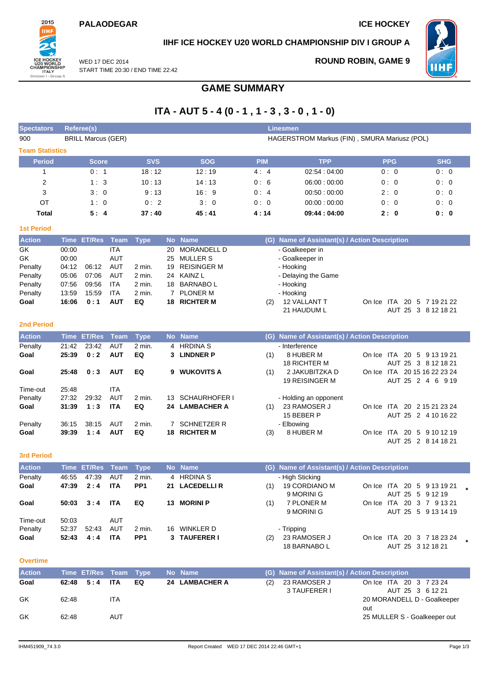### **PALAODEGAR ICE HOCKEY**



## **IIHF ICE HOCKEY U20 WORLD CHAMPIONSHIP DIV I GROUP A**

WED 17 DEC 2014 START TIME 20:30 / END TIME 22:42 **ROUND ROBIN, GAME 9**



# **GAME SUMMARY**

# **ITA - AUT 5 - 4 (0 - 1 , 1 - 3 , 3 - 0 , 1 - 0)**

| <b>Spectators</b>      |                | <b>Referee(s)</b>         |                          |                 |                |                      |            | <b>Linesmen</b>                               |                              |                     |
|------------------------|----------------|---------------------------|--------------------------|-----------------|----------------|----------------------|------------|-----------------------------------------------|------------------------------|---------------------|
| 900                    |                | <b>BRILL Marcus (GER)</b> |                          |                 |                |                      |            | HAGERSTROM Markus (FIN), SMURA Mariusz (POL)  |                              |                     |
| <b>Team Statistics</b> |                |                           |                          |                 |                |                      |            |                                               |                              |                     |
| <b>Period</b>          |                | <b>Score</b>              |                          | <b>SVS</b>      |                | <b>SOG</b>           | <b>PIM</b> | <b>TPP</b>                                    | <b>PPG</b>                   | <b>SHG</b>          |
| $\mathbf{1}$           |                | 0:1                       |                          | 18:12           |                | 12:19                | 4:4        | 02:54:04:00                                   | 0:0                          | 0:0                 |
| $\overline{2}$         |                | 1:3                       |                          | 10:13           |                | 14:13                | 0:6        | 06:00:00:00                                   | 0:0                          | 0:0                 |
| 3                      |                | 3:0                       |                          | 9:13            |                | 16:9                 | 0:4        | 00:50:00:00                                   | 2:0                          | 0:0                 |
| <b>OT</b>              |                | 1:0                       |                          | 0:2             |                | 3:0                  | 0:0        | 00:00:00:00                                   | 0:0                          | 0:0                 |
| <b>Total</b>           |                | 5:4                       |                          | 37:40           |                | 45:41                | 4:14       | 09:44 : 04:00                                 | 2:0                          | 0:0                 |
| <b>1st Period</b>      |                |                           |                          |                 |                |                      |            |                                               |                              |                     |
| <b>Action</b>          |                | Time ET/Res               | <b>Team</b>              | <b>Type</b>     |                | No Name              |            | (G) Name of Assistant(s) / Action Description |                              |                     |
| GK                     | 00:00          |                           | <b>ITA</b>               |                 | 20             | <b>MORANDELL D</b>   |            | - Goalkeeper in                               |                              |                     |
| GK                     | 00:00          |                           | <b>AUT</b>               |                 | 25             | <b>MULLER S</b>      |            | - Goalkeeper in                               |                              |                     |
| Penalty                | 04:12          | 06:12                     | <b>AUT</b>               | 2 min.          | 19             | <b>REISINGER M</b>   |            | - Hooking                                     |                              |                     |
| Penalty                | 05:06          | 07:06                     | <b>AUT</b>               | 2 min.          | 24             | <b>KAINZ L</b>       |            | - Delaying the Game                           |                              |                     |
| Penalty                | 07:56          | 09:56                     | <b>ITA</b>               | 2 min.          |                | 18 BARNABOL          |            | - Hooking                                     |                              |                     |
| Penalty                | 13:59          | 15:59                     | <b>ITA</b>               | 2 min.          | 7              | <b>PLONER M</b>      |            | - Hooking                                     |                              |                     |
| Goal                   | 16:06          | 0:1                       | <b>AUT</b>               | EQ              | 18             | <b>RICHTER M</b>     | (2)        | 12 VALLANT T<br>21 HAUDUM L                   | On Ice ITA 20 5 7 19 21 22   | AUT 25 3 8 12 18 21 |
|                        |                |                           |                          |                 |                |                      |            |                                               |                              |                     |
| <b>2nd Period</b>      |                |                           |                          |                 |                |                      |            |                                               |                              |                     |
|                        |                |                           |                          |                 |                |                      |            |                                               |                              |                     |
| <b>Action</b>          |                | Time ET/Res               | <b>Team</b>              | <b>Type</b>     |                | No Name              |            | (G) Name of Assistant(s) / Action Description |                              |                     |
| Penalty                | 21:42          | 23:42                     | <b>AUT</b>               | 2 min.          | 4              | <b>HRDINA S</b>      |            | - Interference                                |                              |                     |
| Goal                   | 25:39          | 0:2                       | <b>AUT</b>               | EQ              | 3              | <b>LINDNER P</b>     | (1)        | 8 HUBER M                                     | On Ice ITA 20 5 9 13 19 21   |                     |
|                        |                |                           |                          |                 |                |                      |            | <b>18 RICHTER M</b>                           |                              | AUT 25 3 8 12 18 21 |
| Goal                   | 25:48          | 0:3                       | <b>AUT</b>               | EQ              |                | 9 WUKOVITS A         | (1)        | 2 JAKUBITZKA D                                | On Ice ITA 20 15 16 22 23 24 |                     |
|                        |                |                           |                          |                 |                |                      |            | 19 REISINGER M                                |                              | AUT 25 2 4 6 9 19   |
| Time-out               | 25:48          | 29:32                     | <b>ITA</b>               | $2$ min.        | 13             | <b>SCHAURHOFER I</b> |            |                                               |                              |                     |
| Penalty<br>Goal        | 27:32<br>31:39 | 1:3                       | <b>AUT</b><br><b>ITA</b> | EQ              |                | 24 LAMBACHER A       | (1)        | - Holding an opponent<br>23 RAMOSER J         | On Ice ITA 20 2 15 21 23 24  |                     |
|                        |                |                           |                          |                 |                |                      |            | 15 BEBER P                                    |                              | AUT 25 2 4 10 16 22 |
| Penalty                | 36:15          | 38.15                     | <b>AUT</b>               | 2 min.          | $\overline{7}$ | <b>SCHNETZER R</b>   |            | - Elbowing                                    |                              |                     |
| Goal                   | 39:39          | 1:4                       | <b>AUT</b>               | EQ              |                | 18 RICHTER M         | (3)        | 8 HUBER M                                     | On Ice ITA 20 5 9 10 12 19   |                     |
|                        |                |                           |                          |                 |                |                      |            |                                               |                              | AUT 25 2 8 14 18 21 |
| <b>3rd Period</b>      |                |                           |                          |                 |                |                      |            |                                               |                              |                     |
| <b>Action</b>          |                | Time ET/Res               | <b>Team</b>              | <b>Type</b>     |                | No Name              |            | (G) Name of Assistant(s) / Action Description |                              |                     |
| Penalty                | 46:55          | 47:39                     | AUT                      | 2 min.          | 4              | <b>HRDINA S</b>      |            | - High Sticking                               |                              |                     |
| Goal                   | 47:39          | 2:4                       | <b>ITA</b>               | PP <sub>1</sub> | 21             | <b>LACEDELLIR</b>    | (1)        | 19 CORDIANO M                                 | On Ice ITA 20 5 9 13 19 21   |                     |
|                        |                |                           |                          |                 |                |                      |            | 9 MORINI G                                    | AUT 25 5 9 12 19             |                     |
| Goal                   | 50:03          | 3:4                       | <b>ITA</b>               | EQ              | 13             | <b>MORINI P</b>      | (1)        | 7 PLONER M<br>9 MORINI G                      | On Ice ITA 20 3 7 9 13 21    | AUT 25 5 9 13 14 19 |

52:37 52:43 AUT 2 min. 16 WINKLER D - Tripping **Goal 52:43 4:4 ITA PP1 3 TAUFERER I** (2) 23 RAMOSER J 18 BARNABO L On Ice ITA 20 3 7 18 23 24 **\*** AUT 25 3 12 18 21

#### **Overtime**

Time-out 50:03 AUT<br>
Penalty 52:37 52:43 AUT

| <b>Action</b> |               | Time ET/Res Team Type |    | No Name        |     | (G) Name of Assistant(s) / Action Description |                                             |
|---------------|---------------|-----------------------|----|----------------|-----|-----------------------------------------------|---------------------------------------------|
| Goal          | $62:48$ $5:4$ | ITA                   | EQ | 24 LAMBACHER A | (2) | 23 RAMOSER J<br>3 TAUFERER I                  | On Ice ITA 20 3 7 23 24<br>AUT 25 3 6 12 21 |
| GK            | 62:48         | ITA                   |    |                |     |                                               | 20 MORANDELL D - Goalkeeper<br>out          |
| GK            | 62:48         | AUT                   |    |                |     |                                               | 25 MULLER S - Goalkeeper out                |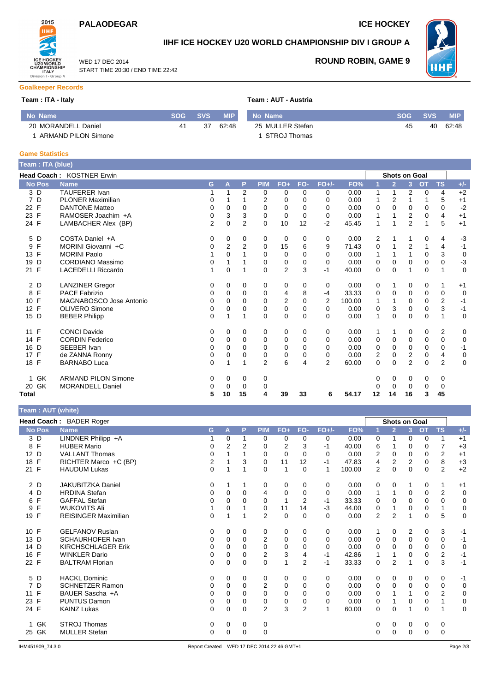## **PALAODEGAR ICE HOCKEY**

WED 17 DEC 2014

START TIME 20:30 / END TIME 22:42



## **IIHF ICE HOCKEY U20 WORLD CHAMPIONSHIP DIV I GROUP A**



**ROUND ROBIN, GAME 9**

# **Goalkeeper Records**

| Team : ITA - Italy  |    |         | Team: AUT - Austria |                  |            |            |            |  |  |  |
|---------------------|----|---------|---------------------|------------------|------------|------------|------------|--|--|--|
| No Name             |    | SOG SVS | <b>MIP</b>          | No Name          | <b>SOG</b> | <b>SVS</b> | <b>MIP</b> |  |  |  |
| 20 MORANDELL Daniel | 41 | 37      | 62:48               | 25 MULLER Stefan | 45         | 40         | 62:48      |  |  |  |
| ARMAND PILON Simone |    |         |                     | STROJ Thomas     |            |            |            |  |  |  |

#### **Game Statistics**

| Team: ITA (blue)          |                                  |                |          |                |                |                |             |                |        |             |                      |                |             |                |             |
|---------------------------|----------------------------------|----------------|----------|----------------|----------------|----------------|-------------|----------------|--------|-------------|----------------------|----------------|-------------|----------------|-------------|
|                           | <b>Head Coach: KOSTNER Erwin</b> |                |          |                |                |                |             |                |        |             | <b>Shots on Goal</b> |                |             |                |             |
| <b>No Pos</b>             | <b>Name</b>                      | G              | A        | P              | <b>PIM</b>     | $FO+$          | FO-         | $FO+/-$        | FO%    |             | $\overline{2}$       | 3              | <b>OT</b>   | <b>TS</b>      | $+/-$       |
| 3 D                       | <b>TAUFERER Ivan</b>             |                | 1        | 2              | 0              | 0              | 0           | 0              | 0.00   | 1           | 1                    | 2              | $\mathbf 0$ | 4              | $+2$        |
| 7 D                       | <b>PLONER Maximilian</b>         | 0              | 1        |                | 2              | 0              | 0           | $\Omega$       | 0.00   | 1           | 2                    | 1              |             | 5              | $+1$        |
| 22 F                      | <b>DANTONE Matteo</b>            | $\mathbf 0$    | 0        | $\Omega$       | $\Omega$       | $\Omega$       | 0           | $\Omega$       | 0.00   | 0           | $\Omega$             | $\Omega$       | $\Omega$    | 0              | $-2$        |
| 23 F                      | RAMOSER Joachim +A               | 0              | 3        | 3              | 0              | 0              | $\mathbf 0$ | 0              | 0.00   |             |                      | 2              | 0           | 4              | $+1$        |
| 24 F                      | LAMBACHER Alex (BP)              | $\overline{2}$ | 0        | $\overline{2}$ | $\Omega$       | 10             | 12          | $-2$           | 45.45  | 1           |                      | $\overline{2}$ | 1           | 5              | $+1$        |
| 5 D                       | COSTA Daniel +A                  | 0              | 0        | 0              | 0              | 0              | 0           | 0              | 0.00   | 2           |                      |                | 0           | 4              | $-3$        |
| F<br>9                    | MORINI Giovanni +C               | 0              | 2        | 2              | 0              | 15             | 6           | 9              | 71.43  | 0           |                      | $\overline{2}$ |             | 4              | $-1$        |
| F<br>13                   | <b>MORINI Paolo</b>              |                | 0        |                | 0              | 0              | 0           | $\Omega$       | 0.00   |             |                      | 1              | 0           | 3              | $\mathbf 0$ |
| D<br>19                   | <b>CORDIANO Massimo</b>          | $\mathbf 0$    | 1        |                | 0              | 0              | 0           | $\Omega$       | 0.00   | 0           | 0                    | $\Omega$       | 0           | $\Omega$       | $-3$        |
| 21 F                      | <b>LACEDELLI Riccardo</b>        |                | 0        |                | $\mathbf 0$    | $\overline{2}$ | 3           | $-1$           | 40.00  | $\mathbf 0$ | 0                    | 1              | $\mathbf 0$ | 1              | $\mathbf 0$ |
| 2 D                       | <b>LANZINER Gregor</b>           | 0              | 0        | 0              | 0              | 0              | 0           | 0              | 0.00   | 0           | 1                    | 0              | 0           | 1              | $+1$        |
| F<br>8                    | <b>PACE Fabrizio</b>             | 0              | 0        | 0              | 0              | 4              | 8           | -4             | 33.33  | 0           | 0                    | 0              | 0           | 0              | $\mathbf 0$ |
| 10 F                      | MAGNABOSCO Jose Antonio          | $\Omega$       | $\Omega$ | 0              | $\Omega$       | $\overline{2}$ | $\Omega$    | $\overline{2}$ | 100.00 | 1           |                      | $\Omega$       | $\Omega$    | $\overline{2}$ | $-1$        |
| F<br>12                   | <b>OLIVERO Simone</b>            | 0              | 0        | 0              | 0              | 0              | 0           | 0              | 0.00   | 0           | 3                    | 0              | $\mathbf 0$ | 3              | $-1$        |
| 15 D                      | <b>BEBER Philipp</b>             | $\Omega$       | 1        | 1              | $\Omega$       | $\mathbf 0$    | $\Omega$    | $\Omega$       | 0.00   | 1           | $\Omega$             | $\Omega$       | $\Omega$    | 1              | $\mathbf 0$ |
| 11 F                      | <b>CONCI Davide</b>              | 0              | 0        | 0              | 0              | 0              | 0           | 0              | 0.00   | 1           | 1                    | 0              | 0           | 2              | 0           |
| 14 F                      | <b>CORDIN Federico</b>           | 0              | 0        | $\Omega$       | 0              | 0              | 0           | $\Omega$       | 0.00   | 0           | 0                    | 0              | 0           | 0              | $\mathbf 0$ |
| 16<br>D                   | SEEBER Ivan                      | 0              | 0        | $\Omega$       | 0              | 0              | 0           | $\Omega$       | 0.00   | 0           | 0                    | 0              | 0           | 0              | $-1$        |
| 17 F                      | de ZANNA Ronny                   | $\mathbf 0$    | 0        | 0              | 0              | $\mathbf 0$    | 0           | $\Omega$       | 0.00   | 2           | 0                    | 2              | 0           | 4              | $\mathbf 0$ |
| 18 F                      | <b>BARNABO Luca</b>              | 0              | 1        |                | $\overline{2}$ | 6              | 4           | $\overline{2}$ | 60.00  | $\Omega$    | $\Omega$             | $\overline{2}$ | $\Omega$    | $\overline{2}$ | 0           |
| <b>GK</b><br>$\mathbf{1}$ | <b>ARMAND PILON Simone</b>       | 0              | 0        | 0              | 0              |                |             |                |        | 0           | 0                    | 0              | 0           | 0              |             |
| 20 GK                     | <b>MORANDELL Daniel</b>          | 0              | 0        | 0              | 0              |                |             |                |        | O           | 0                    | 0              | 0           | 0              |             |
| Total                     |                                  | 5              | 10       | 15             | 4              | 39             | 33          | 6              | 54.17  | 12          | 14                   | 16             | 3           | 45             |             |

#### **Team : AUT (white)**

|                     | Head Coach: BADER Roger     |             |   |             |                |             |                |              |        |                | <b>Shots on Goal</b> |                |             |                         |             |
|---------------------|-----------------------------|-------------|---|-------------|----------------|-------------|----------------|--------------|--------|----------------|----------------------|----------------|-------------|-------------------------|-------------|
| <b>No Pos</b>       | <b>Name</b>                 | G           | A | P           | <b>PIM</b>     | $FO+$       | FO-            | <b>FO+/-</b> | FO%    |                | $\overline{2}$       | $\overline{3}$ | <b>OT</b>   | <b>TS</b>               | $+/-$       |
| 3 D                 | LINDNER Philipp +A          |             | 0 | 1           | 0              | 0           | 0              | 0            | 0.00   | 0              |                      | 0              | $\mathbf 0$ | 1                       | $+1$        |
| F<br>8              | <b>HUBER Mario</b>          | 0           | 2 | 2           | 0              | 2           | 3              | -1           | 40.00  | 6              |                      | 0              | 0           | 7                       | $+3$        |
| 12 D                | <b>VALLANT Thomas</b>       | 0           |   |             | 0              | $\mathbf 0$ | 0              | $\Omega$     | 0.00   | 2              | 0                    | 0              | 0           | $\overline{2}$          | $+1$        |
| 18 F                | RICHTER Marco +C (BP)       | 2           |   | 3           | 0              | 11          | 12             | -1           | 47.83  | 4              | 2                    | 2              | 0           | 8                       | $+3$        |
| 21 F                | <b>HAUDUM Lukas</b>         | $\Omega$    |   |             | $\Omega$       | 1           | 0              | -1           | 100.00 | 2              | $\Omega$             | $\Omega$       | $\mathbf 0$ | $\overline{2}$          | $+2$        |
| 2 D                 | <b>JAKUBITZKA Daniel</b>    | 0           |   | 1           | 0              | 0           | 0              | 0            | 0.00   | 0              | 0                    |                | 0           | 1                       | $+1$        |
| 4 D                 | <b>HRDINA Stefan</b>        | $\mathbf 0$ | 0 | $\Omega$    | 4              | 0           | 0              | $\Omega$     | 0.00   | 1              | 1                    | 0              | $\mathbf 0$ | $\overline{2}$          | $\mathbf 0$ |
| F<br>6              | <b>GAFFAL Stefan</b>        | 0           | 0 | $\Omega$    | $\Omega$       |             | $\overline{2}$ | $-1$         | 33.33  | 0              | 0                    | $\Omega$       | $\Omega$    | $\Omega$                | $\mathbf 0$ |
| F<br>9              | <b>WUKOVITS Ali</b>         |             | 0 |             | 0              | 11          | 14             | $-3$         | 44.00  | 0              |                      | 0              | 0           | 1                       | $\mathbf 0$ |
| 19 F                | <b>REISINGER Maximilian</b> | $\Omega$    | 1 |             | $\overline{2}$ | $\mathbf 0$ | 0              | $\Omega$     | 0.00   | $\overline{2}$ | $\overline{2}$       | 1              | $\Omega$    | 5                       | 0           |
| 10 F                | <b>GELFANOV Ruslan</b>      | 0           | 0 | 0           | 0              | 0           | 0              | 0            | 0.00   | 1              | 0                    | 2              | 0           | 3                       | -1          |
| 13 D                | SCHAURHOFER Ivan            | 0           | 0 | $\Omega$    | $\overline{2}$ | 0           | 0              | $\Omega$     | 0.00   | 0              | 0                    | $\Omega$       | 0           | 0                       | $-1$        |
| 14 D                | <b>KIRCHSCHLAGER Erik</b>   | 0           | 0 | $\Omega$    | 0              | $\mathbf 0$ | 0              | $\Omega$     | 0.00   | 0              | 0                    | 0              | 0           | 0                       | 0           |
| F<br>16             | <b>WINKLER Dario</b>        | 0           | 0 | 0           | $\overline{2}$ | 3           | 4              | -1           | 42.86  | 1              |                      | 0              | 0           | $\overline{\mathbf{c}}$ | $-1$        |
| 22 F                | <b>BALTRAM Florian</b>      | $\mathbf 0$ | 0 | $\mathbf 0$ | 0              | 1           | $\overline{2}$ | -1           | 33.33  | 0              | 2                    | 1              | 0           | 3                       | $-1$        |
| 5 D                 | <b>HACKL Dominic</b>        | 0           | 0 | 0           | 0              | 0           | 0              | 0            | 0.00   | 0              | 0                    | 0              | 0           | 0                       | $-1$        |
| D<br>$\overline{7}$ | <b>SCHNETZER Ramon</b>      | 0           | 0 | $\Omega$    | $\overline{2}$ | $\mathbf 0$ | 0              | $\Omega$     | 0.00   | 0              | $\Omega$             | $\Omega$       | 0           | 0                       | $\mathbf 0$ |
| F<br>11             | BAUER Sascha +A             | 0           | 0 | 0           | 0              | 0           | 0              | 0            | 0.00   | 0              |                      |                | 0           | 2                       | 0           |
| 23 F                | <b>PUNTUS Damon</b>         | $\mathbf 0$ | 0 | $\Omega$    | 0              | 0           | 0              | $\Omega$     | 0.00   | 0              |                      | 0              | 0           |                         | $\mathbf 0$ |
| 24 F                | <b>KAINZ Lukas</b>          | $\Omega$    | 0 | 0           | $\overline{2}$ | 3           | $\overline{2}$ |              | 60.00  | 0              | 0                    | 1              | 0           |                         | 0           |
| GK                  | <b>STROJ Thomas</b>         | 0           | 0 | 0           | 0              |             |                |              |        | 0              | 0                    | 0              | 0           | 0                       |             |
| GK<br>25            | <b>MULLER Stefan</b>        | $\Omega$    | 0 | $\mathbf 0$ | $\mathbf 0$    |             |                |              |        | 0              | 0                    | 0              | $\mathbf 0$ | 0                       |             |
|                     |                             |             |   |             |                |             |                |              |        |                |                      |                |             |                         |             |